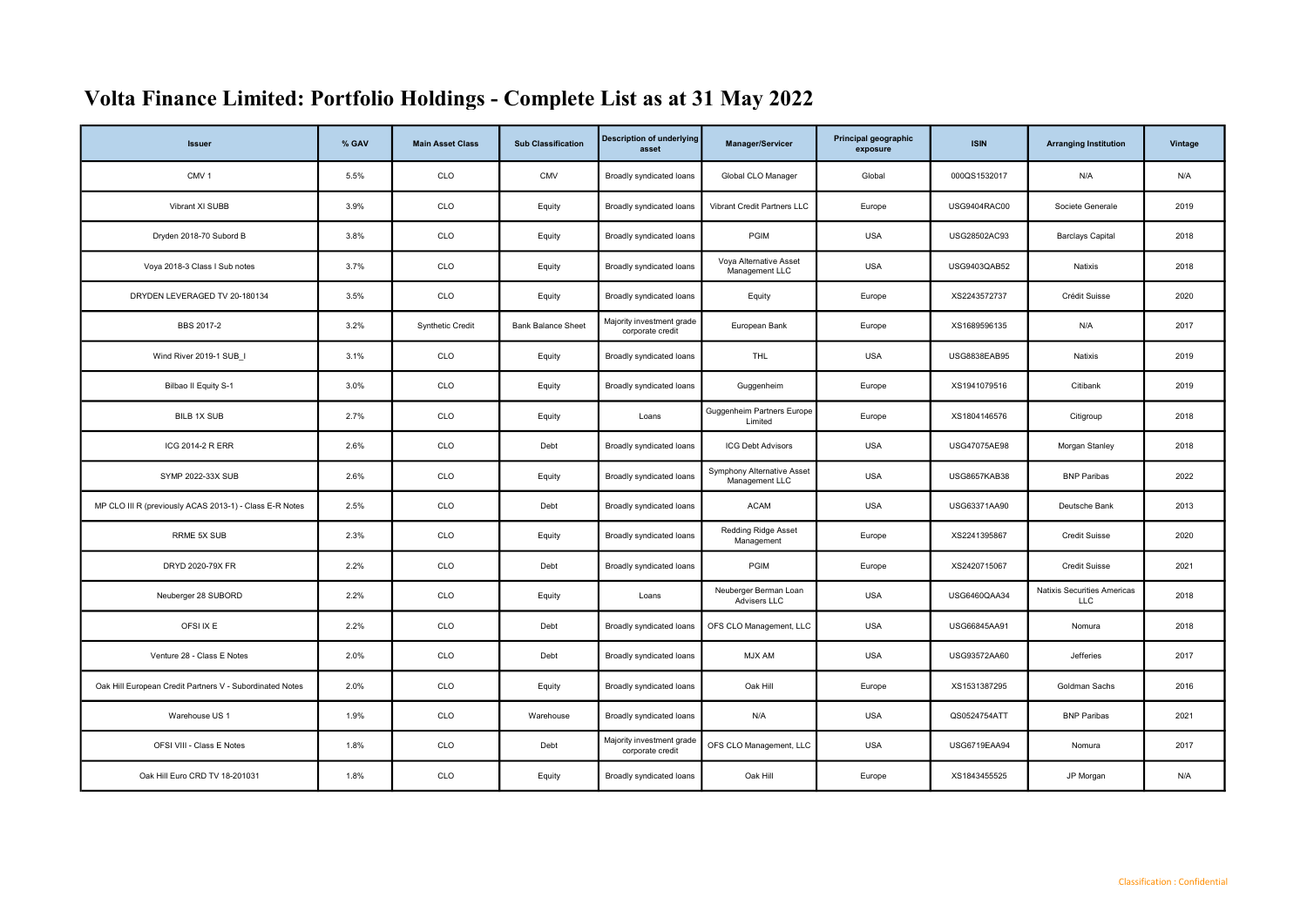## Volta Finance Limited: Portfolio Holdings - Complete List as at 31 May 2022

| <b>Issuer</b>                                            | % GAV | <b>Main Asset Class</b> | <b>Sub Classification</b> | <b>Description of underlying</b><br>asset     | Manager/Servicer                             | Principal geographic<br>exposure | <b>ISIN</b>         | <b>Arranging Institution</b>              | Vintage |
|----------------------------------------------------------|-------|-------------------------|---------------------------|-----------------------------------------------|----------------------------------------------|----------------------------------|---------------------|-------------------------------------------|---------|
| CMV <sub>1</sub>                                         | 5.5%  | CLO                     | <b>CMV</b>                | Broadly syndicated loans                      | Global CLO Manager                           | Global                           | 000QS1532017        | N/A                                       | N/A     |
| Vibrant XI SUBB                                          | 3.9%  | CLO                     | Equity                    | Broadly syndicated loans                      | Vibrant Credit Partners LLC                  | Europe                           | USG9404RAC00        | Societe Generale                          | 2019    |
| Dryden 2018-70 Subord B                                  | 3.8%  | CLO                     | Equity                    | Broadly syndicated loans                      | PGIM                                         | <b>USA</b>                       | USG28502AC93        | <b>Barclays Capital</b>                   | 2018    |
| Voya 2018-3 Class I Sub notes                            | 3.7%  | CLO                     | Equity                    | Broadly syndicated loans                      | Voya Alternative Asset<br>Management LLC     | <b>USA</b>                       | USG9403QAB52        | Natixis                                   | 2018    |
| DRYDEN LEVERAGED TV 20-180134                            | 3.5%  | CLO                     | Equity                    | Broadly syndicated loans                      | Equity                                       | Europe                           | XS2243572737        | Crédit Suisse                             | 2020    |
| BBS 2017-2                                               | 3.2%  | <b>Synthetic Credit</b> | <b>Bank Balance Sheet</b> | Majority investment grade<br>corporate credit | European Bank                                | Europe                           | XS1689596135        | N/A                                       | 2017    |
| Wind River 2019-1 SUB I                                  | 3.1%  | <b>CLO</b>              | Equity                    | Broadly syndicated loans                      | <b>THL</b>                                   | <b>USA</b>                       | USG8838EAB95        | Natixis                                   | 2019    |
| Bilbao II Equity S-1                                     | 3.0%  | CLO                     | Equity                    | Broadly syndicated loans                      | Guggenheim                                   | Europe                           | XS1941079516        | Citibank                                  | 2019    |
| BILB 1X SUB                                              | 2.7%  | CLO                     | Equity                    | Loans                                         | Guggenheim Partners Europe<br>Limited        | Europe                           | XS1804146576        | Citigroup                                 | 2018    |
| ICG 2014-2 R ERR                                         | 2.6%  | CLO                     | Debt                      | Broadly syndicated loans                      | <b>ICG Debt Advisors</b>                     | <b>USA</b>                       | USG47075AE98        | Morgan Stanley                            | 2018    |
| SYMP 2022-33X SUB                                        | 2.6%  | CLO                     | Equity                    | Broadly syndicated loans                      | Symphony Alternative Asset<br>Management LLC | <b>USA</b>                       | <b>USG8657KAB38</b> | <b>BNP Paribas</b>                        | 2022    |
| MP CLO III R (previously ACAS 2013-1) - Class E-R Notes  | 2.5%  | CLO                     | Debt                      | Broadly syndicated loans                      | <b>ACAM</b>                                  | <b>USA</b>                       | USG63371AA90        | Deutsche Bank                             | 2013    |
| <b>RRME 5X SUB</b>                                       | 2.3%  | CLO                     | Equity                    | Broadly syndicated loans                      | <b>Redding Ridge Asset</b><br>Management     | Europe                           | XS2241395867        | <b>Credit Suisse</b>                      | 2020    |
| DRYD 2020-79X FR                                         | 2.2%  | CLO                     | Debt                      | Broadly syndicated loans                      | PGIM                                         | Europe                           | XS2420715067        | Credit Suisse                             | 2021    |
| Neuberger 28 SUBORD                                      | 2.2%  | CLO                     | Equity                    | Loans                                         | Neuberger Berman Loan<br>Advisers LLC        | <b>USA</b>                       | USG6460QAA34        | Natixis Securities Americas<br><b>LLC</b> | 2018    |
| OFSI IX E                                                | 2.2%  | CLO                     | Debt                      | Broadly syndicated loans                      | OFS CLO Management, LLC                      | <b>USA</b>                       | USG66845AA91        | Nomura                                    | 2018    |
| Venture 28 - Class E Notes                               | 2.0%  | CLO                     | Debt                      | Broadly syndicated loans                      | MJX AM                                       | <b>USA</b>                       | USG93572AA60        | Jefferies                                 | 2017    |
| Oak Hill European Credit Partners V - Subordinated Notes | 2.0%  | CLO                     | Equity                    | Broadly syndicated loans                      | Oak Hill                                     | Europe                           | XS1531387295        | Goldman Sachs                             | 2016    |
| Warehouse US 1                                           | 1.9%  | CLO                     | Warehouse                 | Broadly syndicated loans                      | N/A                                          | <b>USA</b>                       | QS0524754ATT        | <b>BNP Paribas</b>                        | 2021    |
| OFSI VIII - Class E Notes                                | 1.8%  | CLO                     | Debt                      | Majority investment grade<br>corporate credit | OFS CLO Management, LLC                      | <b>USA</b>                       | USG6719EAA94        | Nomura                                    | 2017    |
| Oak Hill Euro CRD TV 18-201031                           | 1.8%  | CLO                     | Equity                    | Broadly syndicated loans                      | Oak Hill                                     | Europe                           | XS1843455525        | JP Morgan                                 | N/A     |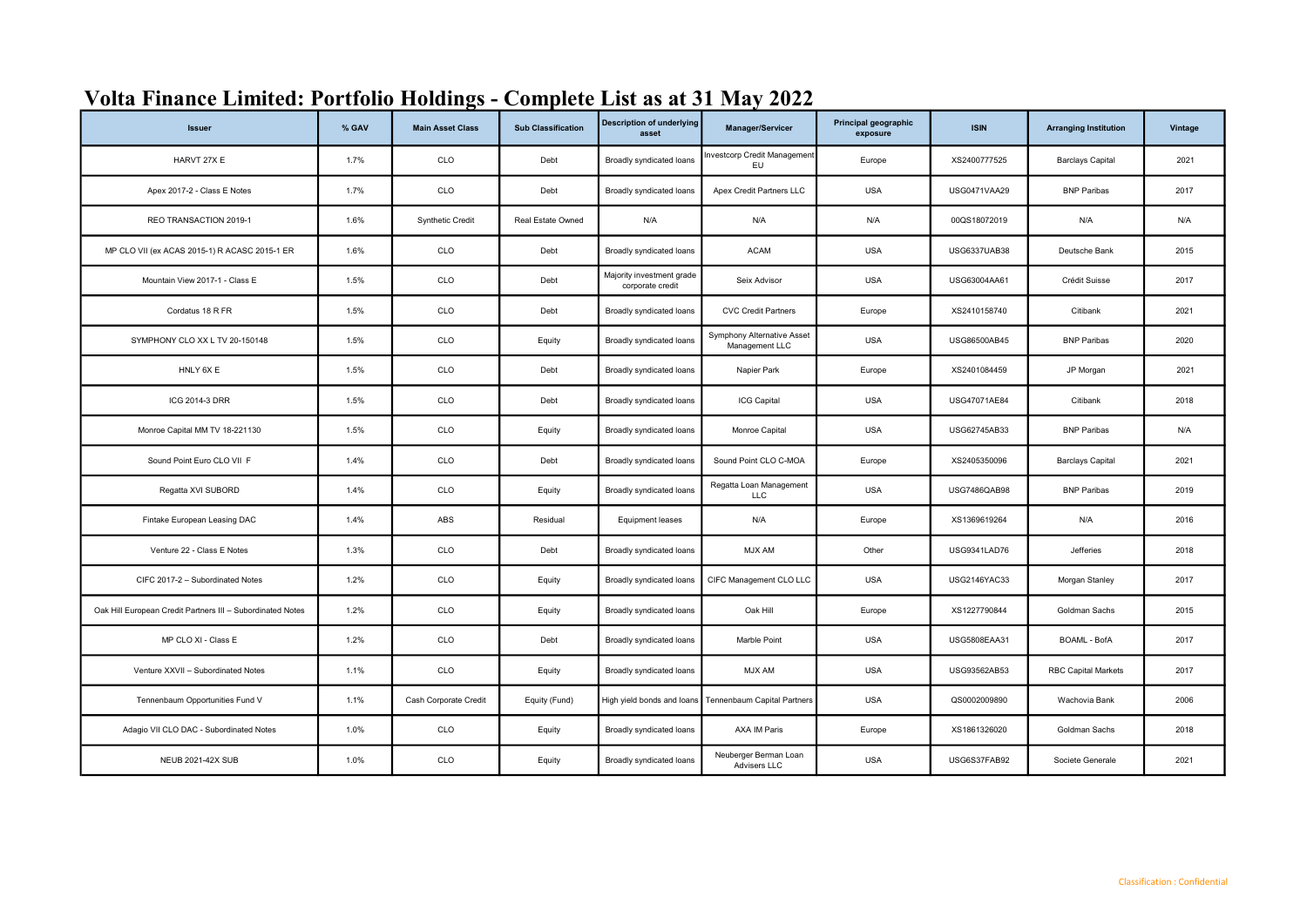| <b>Issuer</b>                                              | % GAV | <b>Main Asset Class</b> | <b>Sub Classification</b> | <b>Description of underlying</b><br>asset     | Manager/Servicer                             | Principal geographic<br>exposure | <b>ISIN</b>  | <b>Arranging Institution</b> | Vintage |
|------------------------------------------------------------|-------|-------------------------|---------------------------|-----------------------------------------------|----------------------------------------------|----------------------------------|--------------|------------------------------|---------|
| HARVT 27X E                                                | 1.7%  | CLO                     | Debt                      | Broadly syndicated loans                      | <b>Investcorp Credit Management</b><br>EU.   | Europe                           | XS2400777525 | <b>Barclays Capital</b>      | 2021    |
| Apex 2017-2 - Class E Notes                                | 1.7%  | CLO                     | Debt                      | Broadly syndicated loans                      | Apex Credit Partners LLC                     | <b>USA</b>                       | USG0471VAA29 | <b>BNP Paribas</b>           | 2017    |
| REO TRANSACTION 2019-1                                     | 1.6%  | <b>Synthetic Credit</b> | Real Estate Owned         | N/A                                           | N/A                                          | N/A                              | 00QS18072019 | N/A                          | N/A     |
| MP CLO VII (ex ACAS 2015-1) R ACASC 2015-1 ER              | 1.6%  | CLO                     | Debt                      | Broadly syndicated loans                      | <b>ACAM</b>                                  | <b>USA</b>                       | USG6337UAB38 | Deutsche Bank                | 2015    |
| Mountain View 2017-1 - Class E                             | 1.5%  | CLO                     | Debt                      | Majority investment grade<br>corporate credit | Seix Advisor                                 | <b>USA</b>                       | USG63004AA61 | Crédit Suisse                | 2017    |
| Cordatus 18 R FR                                           | 1.5%  | CLO                     | Debt                      | Broadly syndicated loans                      | <b>CVC Credit Partners</b>                   | Europe                           | XS2410158740 | Citibank                     | 2021    |
| SYMPHONY CLO XX L TV 20-150148                             | 1.5%  | CLO                     | Equity                    | Broadly syndicated loans                      | Symphony Alternative Asset<br>Management LLC | <b>USA</b>                       | USG86500AB45 | <b>BNP Paribas</b>           | 2020    |
| HNLY 6X E                                                  | 1.5%  | CLO                     | Debt                      | Broadly syndicated loans                      | Napier Park                                  | Europe                           | XS2401084459 | JP Morgan                    | 2021    |
| ICG 2014-3 DRR                                             | 1.5%  | CLO                     | Debt                      | Broadly syndicated loans                      | ICG Capital                                  | <b>USA</b>                       | USG47071AE84 | Citibank                     | 2018    |
| Monroe Capital MM TV 18-221130                             | 1.5%  | CLO                     | Equity                    | Broadly syndicated loans                      | Monroe Capital                               | <b>USA</b>                       | USG62745AB33 | <b>BNP Paribas</b>           | N/A     |
| Sound Point Euro CLO VII F                                 | 1.4%  | CLO                     | Debt                      | Broadly syndicated loans                      | Sound Point CLO C-MOA                        | Europe                           | XS2405350096 | <b>Barclays Capital</b>      | 2021    |
| Regatta XVI SUBORD                                         | 1.4%  | CLO                     | Equity                    | Broadly syndicated loans                      | Regatta Loan Management<br><b>LLC</b>        | <b>USA</b>                       | USG7486QAB98 | <b>BNP Paribas</b>           | 2019    |
| Fintake European Leasing DAC                               | 1.4%  | ABS                     | Residual                  | Equipment leases                              | N/A                                          | Europe                           | XS1369619264 | N/A                          | 2016    |
| Venture 22 - Class E Notes                                 | 1.3%  | CLO                     | Debt                      | Broadly syndicated loans                      | MJX AM                                       | Other                            | USG9341LAD76 | Jefferies                    | 2018    |
| CIFC 2017-2 - Subordinated Notes                           | 1.2%  | CLO                     | Equity                    | Broadly syndicated loans                      | CIFC Management CLO LLC                      | <b>USA</b>                       | USG2146YAC33 | Morgan Stanley               | 2017    |
| Oak Hill European Credit Partners III - Subordinated Notes | 1.2%  | CLO                     | Equity                    | Broadly syndicated loans                      | Oak Hill                                     | Europe                           | XS1227790844 | Goldman Sachs                | 2015    |
| MP CLO XI - Class E                                        | 1.2%  | CLO                     | Debt                      | Broadly syndicated loans                      | Marble Point                                 | <b>USA</b>                       | USG5808EAA31 | <b>BOAML - BofA</b>          | 2017    |
| Venture XXVII - Subordinated Notes                         | 1.1%  | CLO                     | Equity                    | Broadly syndicated loans                      | MJX AM                                       | <b>USA</b>                       | USG93562AB53 | <b>RBC Capital Markets</b>   | 2017    |
| Tennenbaum Opportunities Fund V                            | 1.1%  | Cash Corporate Credit   | Equity (Fund)             | High yield bonds and loans                    | Tennenbaum Capital Partners                  | <b>USA</b>                       | QS0002009890 | Wachovia Bank                | 2006    |
| Adagio VII CLO DAC - Subordinated Notes                    | 1.0%  | CLO                     | Equity                    | Broadly syndicated loans                      | AXA IM Paris                                 | Europe                           | XS1861326020 | Goldman Sachs                | 2018    |
| <b>NEUB 2021-42X SUB</b>                                   | 1.0%  | CLO                     | Equity                    | Broadly syndicated loans                      | Neuberger Berman Loan<br>Advisers LLC        | <b>USA</b>                       | USG6S37FAB92 | Societe Generale             | 2021    |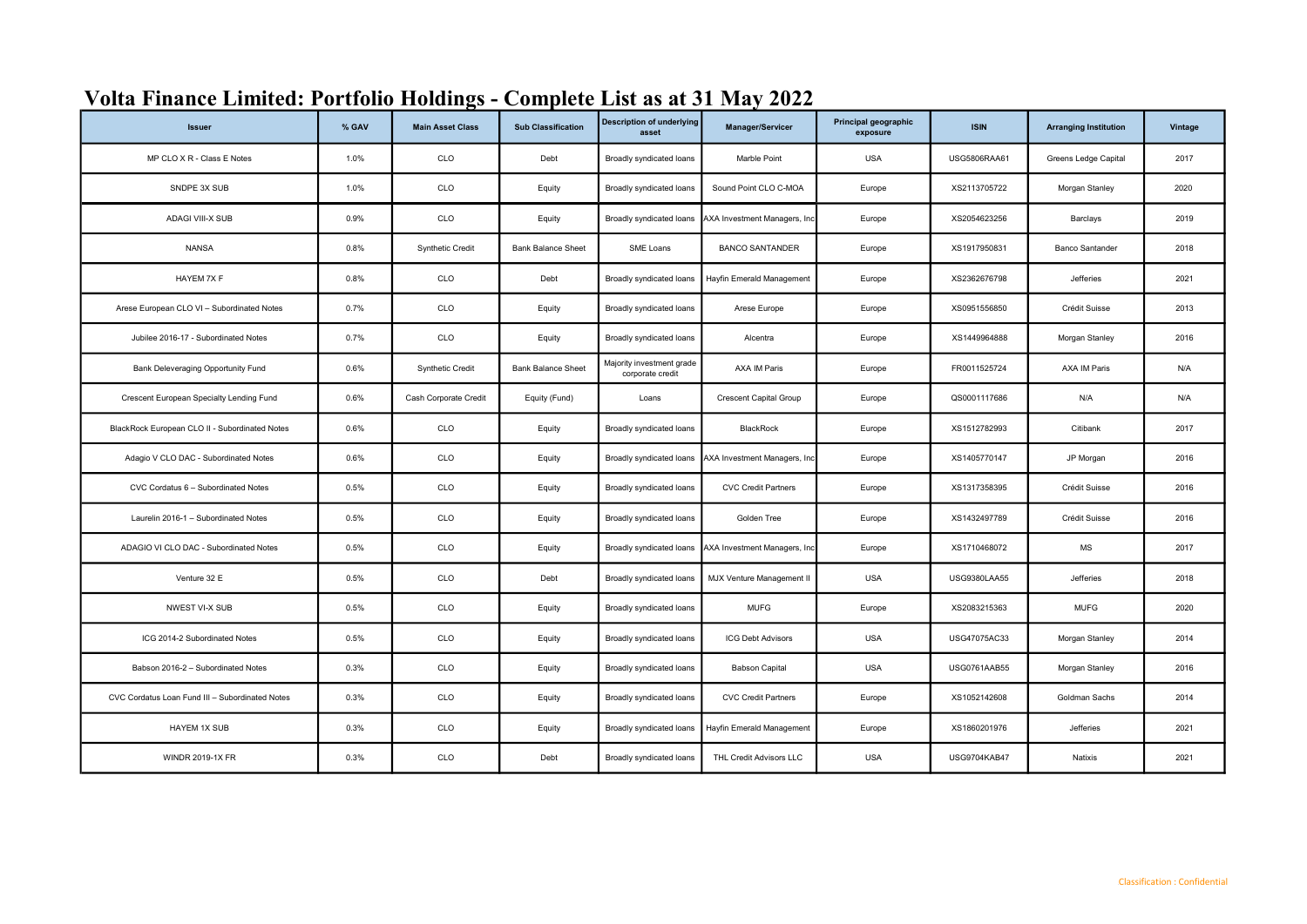| <b>Issuer</b>                                   | % GAV | <b>Main Asset Class</b> | <b>Sub Classification</b> | <b>Description of underlying</b><br>asset     | Manager/Servicer              | Principal geographic<br>exposure | <b>ISIN</b>         | <b>Arranging Institution</b> | Vintage |
|-------------------------------------------------|-------|-------------------------|---------------------------|-----------------------------------------------|-------------------------------|----------------------------------|---------------------|------------------------------|---------|
| MP CLO X R - Class E Notes                      | 1.0%  | CLO                     | Debt                      | Broadly syndicated loans                      | Marble Point                  | <b>USA</b>                       | USG5806RAA61        | Greens Ledge Capital         | 2017    |
| SNDPE 3X SUB                                    | 1.0%  | CLO                     | Equity                    | Broadly syndicated loans                      | Sound Point CLO C-MOA         | Europe                           | XS2113705722        | Morgan Stanley               | 2020    |
| <b>ADAGI VIII-X SUB</b>                         | 0.9%  | CLO                     | Equity                    | Broadly syndicated loans                      | AXA Investment Managers, Inc  | Europe                           | XS2054623256        | Barclays                     | 2019    |
| <b>NANSA</b>                                    | 0.8%  | <b>Synthetic Credit</b> | <b>Bank Balance Sheet</b> | SME Loans                                     | <b>BANCO SANTANDER</b>        | Europe                           | XS1917950831        | <b>Banco Santander</b>       | 2018    |
| HAYEM 7X F                                      | 0.8%  | CLO                     | Debt                      | Broadly syndicated loans                      | Hayfin Emerald Management     | Europe                           | XS2362676798        | <b>Jefferies</b>             | 2021    |
| Arese European CLO VI - Subordinated Notes      | 0.7%  | CLO                     | Equity                    | Broadly syndicated loans                      | Arese Europe                  | Europe                           | XS0951556850        | Crédit Suisse                | 2013    |
| Jubilee 2016-17 - Subordinated Notes            | 0.7%  | CLO                     | Equity                    | Broadly syndicated loans                      | Alcentra                      | Europe                           | XS1449964888        | Morgan Stanley               | 2016    |
| Bank Deleveraging Opportunity Fund              | 0.6%  | Synthetic Credit        | <b>Bank Balance Sheet</b> | Majority investment grade<br>corporate credit | AXA IM Paris                  | Europe                           | FR0011525724        | <b>AXA IM Paris</b>          | N/A     |
| Crescent European Specialty Lending Fund        | 0.6%  | Cash Corporate Credit   | Equity (Fund)             | Loans                                         | <b>Crescent Capital Group</b> | Europe                           | QS0001117686        | N/A                          | N/A     |
| BlackRock European CLO II - Subordinated Notes  | 0.6%  | <b>CLO</b>              | Equity                    | Broadly syndicated loans                      | BlackRock                     | Europe                           | XS1512782993        | Citibank                     | 2017    |
| Adagio V CLO DAC - Subordinated Notes           | 0.6%  | CLO                     | Equity                    | Broadly syndicated loans                      | AXA Investment Managers, Inc  | Europe                           | XS1405770147        | JP Morgan                    | 2016    |
| CVC Cordatus 6 - Subordinated Notes             | 0.5%  | CLO                     | Equity                    | Broadly syndicated loans                      | <b>CVC Credit Partners</b>    | Europe                           | XS1317358395        | Crédit Suisse                | 2016    |
| Laurelin 2016-1 - Subordinated Notes            | 0.5%  | CLO                     | Equity                    | Broadly syndicated loans                      | Golden Tree                   | Europe                           | XS1432497789        | Crédit Suisse                | 2016    |
| ADAGIO VI CLO DAC - Subordinated Notes          | 0.5%  | CLO                     | Equity                    | Broadly syndicated loans                      | AXA Investment Managers, Inc  | Europe                           | XS1710468072        | <b>MS</b>                    | 2017    |
| Venture 32 E                                    | 0.5%  | CLO                     | Debt                      | Broadly syndicated loans                      | MJX Venture Management II     | <b>USA</b>                       | USG9380LAA55        | Jefferies                    | 2018    |
| NWEST VI-X SUB                                  | 0.5%  | CLO                     | Equity                    | Broadly syndicated loans                      | <b>MUFG</b>                   | Europe                           | XS2083215363        | <b>MUFG</b>                  | 2020    |
| ICG 2014-2 Subordinated Notes                   | 0.5%  | CLO                     | Equity                    | Broadly syndicated loans                      | <b>ICG Debt Advisors</b>      | <b>USA</b>                       | USG47075AC33        | Morgan Stanley               | 2014    |
| Babson 2016-2 - Subordinated Notes              | 0.3%  | CLO                     | Equity                    | Broadly syndicated loans                      | <b>Babson Capital</b>         | <b>USA</b>                       | USG0761AAB55        | Morgan Stanley               | 2016    |
| CVC Cordatus Loan Fund III - Subordinated Notes | 0.3%  | CLO                     | Equity                    | Broadly syndicated loans                      | <b>CVC Credit Partners</b>    | Europe                           | XS1052142608        | Goldman Sachs                | 2014    |
| HAYEM 1X SUB                                    | 0.3%  | CLO                     | Equity                    | Broadly syndicated loans                      | Hayfin Emerald Management     | Europe                           | XS1860201976        | Jefferies                    | 2021    |
| <b>WINDR 2019-1X FR</b>                         | 0.3%  | CLO                     | Debt                      | Broadly syndicated loans                      | THL Credit Advisors LLC       | <b>USA</b>                       | <b>USG9704KAB47</b> | Natixis                      | 2021    |

## Volta Finance Limited: Portfolio Holdings - Complete List as at 31 May 2022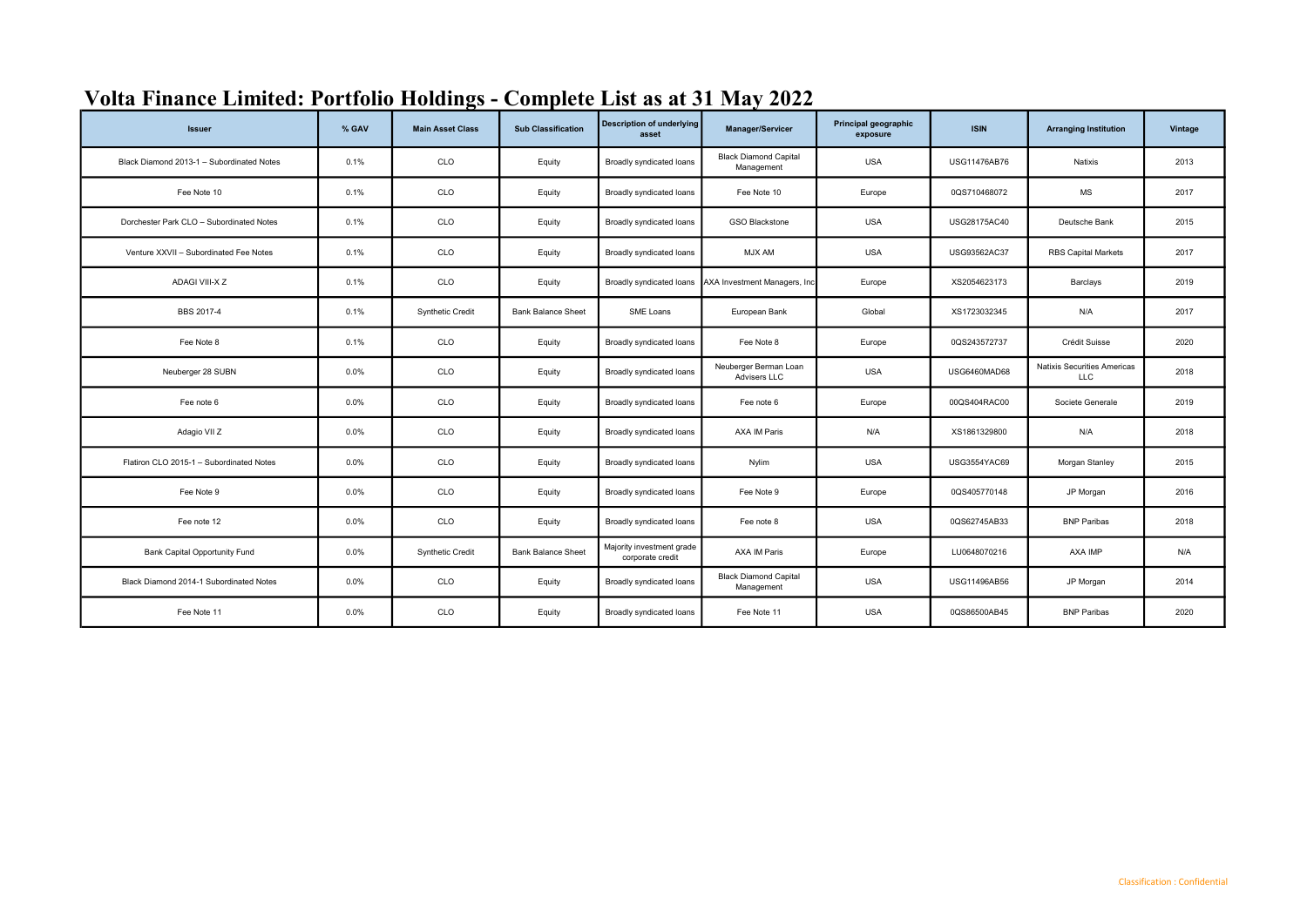| <b>Issuer</b>                             | % GAV | <b>Main Asset Class</b> | <b>Sub Classification</b> | <b>Description of underlying</b><br>asset     | <b>Manager/Servicer</b>                    | Principal geographic<br>exposure | <b>ISIN</b>  | <b>Arranging Institution</b>              | Vintage |
|-------------------------------------------|-------|-------------------------|---------------------------|-----------------------------------------------|--------------------------------------------|----------------------------------|--------------|-------------------------------------------|---------|
| Black Diamond 2013-1 - Subordinated Notes | 0.1%  | CLO                     | Equity                    | Broadly syndicated loans                      | <b>Black Diamond Capital</b><br>Management | <b>USA</b>                       | USG11476AB76 | Natixis                                   | 2013    |
| Fee Note 10                               | 0.1%  | CLO                     | Equity                    | Broadly syndicated loans                      | Fee Note 10                                | Europe                           | 0QS710468072 | <b>MS</b>                                 | 2017    |
| Dorchester Park CLO - Subordinated Notes  | 0.1%  | CLO                     | Equity                    | Broadly syndicated loans                      | <b>GSO Blackstone</b>                      | <b>USA</b>                       | USG28175AC40 | Deutsche Bank                             | 2015    |
| Venture XXVII - Subordinated Fee Notes    | 0.1%  | CLO                     | Equity                    | Broadly syndicated loans                      | MJX AM                                     | <b>USA</b>                       | USG93562AC37 | <b>RBS Capital Markets</b>                | 2017    |
| ADAGI VIII-X Z                            | 0.1%  | CLO                     | Equity                    | Broadly syndicated loans                      | AXA Investment Managers, Inc.              | Europe                           | XS2054623173 | Barclays                                  | 2019    |
| BBS 2017-4                                | 0.1%  | <b>Synthetic Credit</b> | <b>Bank Balance Sheet</b> | SME Loans                                     | European Bank                              | Global                           | XS1723032345 | N/A                                       | 2017    |
| Fee Note 8                                | 0.1%  | CLO                     | Equity                    | Broadly syndicated loans                      | Fee Note 8                                 | Europe                           | 0QS243572737 | Crédit Suisse                             | 2020    |
| Neuberger 28 SUBN                         | 0.0%  | CLO                     | Equity                    | Broadly syndicated loans                      | Neuberger Berman Loan<br>Advisers LLC      | <b>USA</b>                       | USG6460MAD68 | Natixis Securities Americas<br><b>LLC</b> | 2018    |
| Fee note 6                                | 0.0%  | CLO                     | Equity                    | Broadly syndicated loans                      | Fee note 6                                 | Europe                           | 00QS404RAC00 | Societe Generale                          | 2019    |
| Adagio VII Z                              | 0.0%  | CLO                     | Equity                    | Broadly syndicated loans                      | AXA IM Paris                               | N/A                              | XS1861329800 | N/A                                       | 2018    |
| Flatiron CLO 2015-1 - Subordinated Notes  | 0.0%  | CLO                     | Equity                    | Broadly syndicated loans                      | Nylim                                      | <b>USA</b>                       | USG3554YAC69 | Morgan Stanley                            | 2015    |
| Fee Note 9                                | 0.0%  | CLO                     | Equity                    | Broadly syndicated loans                      | Fee Note 9                                 | Europe                           | 0QS405770148 | JP Morgan                                 | 2016    |
| Fee note 12                               | 0.0%  | CLO                     | Equity                    | Broadly syndicated loans                      | Fee note 8                                 | <b>USA</b>                       | 0QS62745AB33 | <b>BNP Paribas</b>                        | 2018    |
| <b>Bank Capital Opportunity Fund</b>      | 0.0%  | <b>Synthetic Credit</b> | <b>Bank Balance Sheet</b> | Majority investment grade<br>corporate credit | AXA IM Paris                               | Europe                           | LU0648070216 | AXA IMP                                   | N/A     |
| Black Diamond 2014-1 Subordinated Notes   | 0.0%  | CLO                     | Equity                    | Broadly syndicated loans                      | <b>Black Diamond Capital</b><br>Management | <b>USA</b>                       | USG11496AB56 | JP Morgan                                 | 2014    |
| Fee Note 11                               | 0.0%  | CLO                     | Equity                    | Broadly syndicated loans                      | Fee Note 11                                | <b>USA</b>                       | 0QS86500AB45 | <b>BNP Paribas</b>                        | 2020    |

## Volta Finance Limited: Portfolio Holdings - Complete List as at 31 May 2022